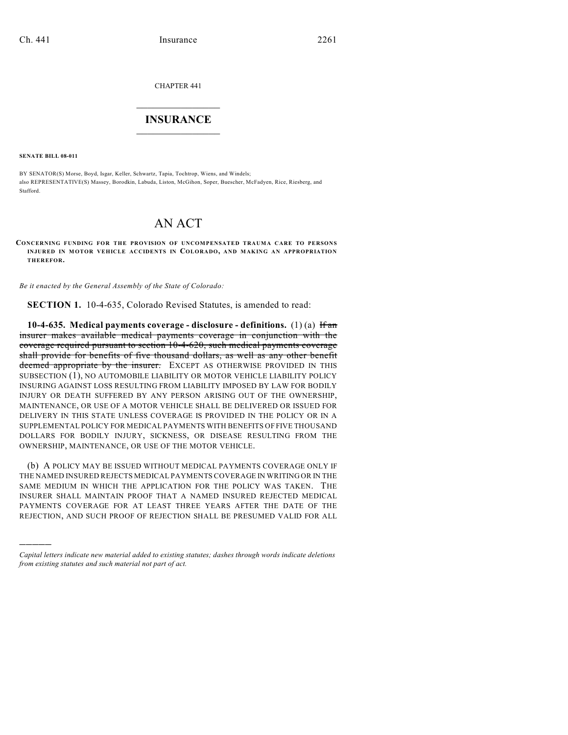CHAPTER 441

## $\mathcal{L}_\text{max}$  . The set of the set of the set of the set of the set of the set of the set of the set of the set of the set of the set of the set of the set of the set of the set of the set of the set of the set of the set **INSURANCE**  $\frac{1}{2}$  ,  $\frac{1}{2}$  ,  $\frac{1}{2}$  ,  $\frac{1}{2}$  ,  $\frac{1}{2}$  ,  $\frac{1}{2}$  ,  $\frac{1}{2}$

**SENATE BILL 08-011**

)))))

BY SENATOR(S) Morse, Boyd, Isgar, Keller, Schwartz, Tapia, Tochtrop, Wiens, and Windels; also REPRESENTATIVE(S) Massey, Borodkin, Labuda, Liston, McGihon, Soper, Buescher, McFadyen, Rice, Riesberg, and Stafford.

# AN ACT

**CONCERNING FUNDING FOR THE PROVISION OF UNCOMPENSATED TRAUMA CARE TO PERSONS INJURED IN MOTOR VEHICLE ACCIDENTS IN COLORADO, AND MAKING AN APPROPRIATION THEREFOR.**

*Be it enacted by the General Assembly of the State of Colorado:*

**SECTION 1.** 10-4-635, Colorado Revised Statutes, is amended to read:

**10-4-635. Medical payments coverage - disclosure - definitions.** (1) (a) If an insurer makes available medical payments coverage in conjunction with the coverage required pursuant to section 10-4-620, such medical payments coverage shall provide for benefits of five thousand dollars, as well as any other benefit deemed appropriate by the insurer. EXCEPT AS OTHERWISE PROVIDED IN THIS SUBSECTION (1), NO AUTOMOBILE LIABILITY OR MOTOR VEHICLE LIABILITY POLICY INSURING AGAINST LOSS RESULTING FROM LIABILITY IMPOSED BY LAW FOR BODILY INJURY OR DEATH SUFFERED BY ANY PERSON ARISING OUT OF THE OWNERSHIP, MAINTENANCE, OR USE OF A MOTOR VEHICLE SHALL BE DELIVERED OR ISSUED FOR DELIVERY IN THIS STATE UNLESS COVERAGE IS PROVIDED IN THE POLICY OR IN A SUPPLEMENTAL POLICY FOR MEDICAL PAYMENTS WITH BENEFITS OF FIVE THOUSAND DOLLARS FOR BODILY INJURY, SICKNESS, OR DISEASE RESULTING FROM THE OWNERSHIP, MAINTENANCE, OR USE OF THE MOTOR VEHICLE.

(b) A POLICY MAY BE ISSUED WITHOUT MEDICAL PAYMENTS COVERAGE ONLY IF THE NAMED INSURED REJECTS MEDICAL PAYMENTS COVERAGE IN WRITING OR IN THE SAME MEDIUM IN WHICH THE APPLICATION FOR THE POLICY WAS TAKEN. THE INSURER SHALL MAINTAIN PROOF THAT A NAMED INSURED REJECTED MEDICAL PAYMENTS COVERAGE FOR AT LEAST THREE YEARS AFTER THE DATE OF THE REJECTION, AND SUCH PROOF OF REJECTION SHALL BE PRESUMED VALID FOR ALL

*Capital letters indicate new material added to existing statutes; dashes through words indicate deletions from existing statutes and such material not part of act.*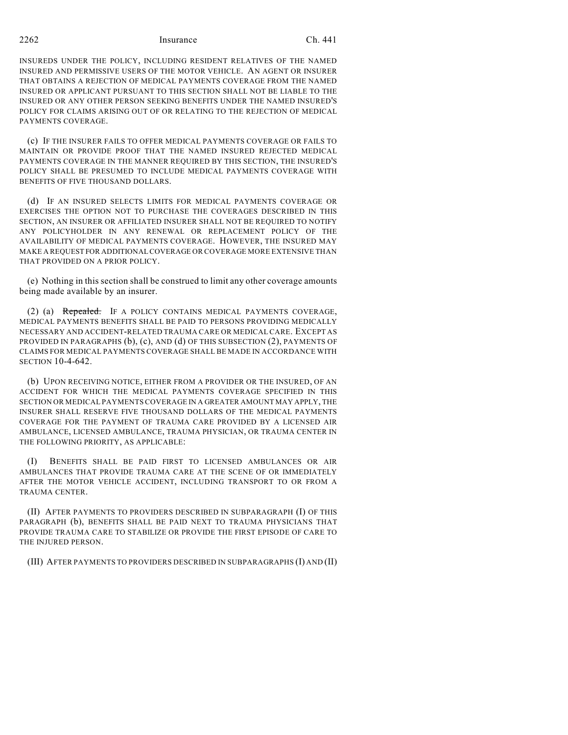2262 Insurance Ch. 441

INSUREDS UNDER THE POLICY, INCLUDING RESIDENT RELATIVES OF THE NAMED INSURED AND PERMISSIVE USERS OF THE MOTOR VEHICLE. AN AGENT OR INSURER THAT OBTAINS A REJECTION OF MEDICAL PAYMENTS COVERAGE FROM THE NAMED INSURED OR APPLICANT PURSUANT TO THIS SECTION SHALL NOT BE LIABLE TO THE INSURED OR ANY OTHER PERSON SEEKING BENEFITS UNDER THE NAMED INSURED'S POLICY FOR CLAIMS ARISING OUT OF OR RELATING TO THE REJECTION OF MEDICAL PAYMENTS COVERAGE.

(c) IF THE INSURER FAILS TO OFFER MEDICAL PAYMENTS COVERAGE OR FAILS TO MAINTAIN OR PROVIDE PROOF THAT THE NAMED INSURED REJECTED MEDICAL PAYMENTS COVERAGE IN THE MANNER REQUIRED BY THIS SECTION, THE INSURED'S POLICY SHALL BE PRESUMED TO INCLUDE MEDICAL PAYMENTS COVERAGE WITH BENEFITS OF FIVE THOUSAND DOLLARS.

(d) IF AN INSURED SELECTS LIMITS FOR MEDICAL PAYMENTS COVERAGE OR EXERCISES THE OPTION NOT TO PURCHASE THE COVERAGES DESCRIBED IN THIS SECTION, AN INSURER OR AFFILIATED INSURER SHALL NOT BE REQUIRED TO NOTIFY ANY POLICYHOLDER IN ANY RENEWAL OR REPLACEMENT POLICY OF THE AVAILABILITY OF MEDICAL PAYMENTS COVERAGE. HOWEVER, THE INSURED MAY MAKE A REQUEST FOR ADDITIONAL COVERAGE OR COVERAGE MORE EXTENSIVE THAN THAT PROVIDED ON A PRIOR POLICY.

(e) Nothing in this section shall be construed to limit any other coverage amounts being made available by an insurer.

(2) (a) Repealed. IF A POLICY CONTAINS MEDICAL PAYMENTS COVERAGE, MEDICAL PAYMENTS BENEFITS SHALL BE PAID TO PERSONS PROVIDING MEDICALLY NECESSARY AND ACCIDENT-RELATED TRAUMA CARE OR MEDICAL CARE. EXCEPT AS PROVIDED IN PARAGRAPHS (b), (c), AND (d) OF THIS SUBSECTION (2), PAYMENTS OF CLAIMS FOR MEDICAL PAYMENTS COVERAGE SHALL BE MADE IN ACCORDANCE WITH SECTION 10-4-642.

(b) UPON RECEIVING NOTICE, EITHER FROM A PROVIDER OR THE INSURED, OF AN ACCIDENT FOR WHICH THE MEDICAL PAYMENTS COVERAGE SPECIFIED IN THIS SECTION OR MEDICAL PAYMENTS COVERAGE IN A GREATER AMOUNT MAY APPLY, THE INSURER SHALL RESERVE FIVE THOUSAND DOLLARS OF THE MEDICAL PAYMENTS COVERAGE FOR THE PAYMENT OF TRAUMA CARE PROVIDED BY A LICENSED AIR AMBULANCE, LICENSED AMBULANCE, TRAUMA PHYSICIAN, OR TRAUMA CENTER IN THE FOLLOWING PRIORITY, AS APPLICABLE:

(I) BENEFITS SHALL BE PAID FIRST TO LICENSED AMBULANCES OR AIR AMBULANCES THAT PROVIDE TRAUMA CARE AT THE SCENE OF OR IMMEDIATELY AFTER THE MOTOR VEHICLE ACCIDENT, INCLUDING TRANSPORT TO OR FROM A TRAUMA CENTER.

(II) AFTER PAYMENTS TO PROVIDERS DESCRIBED IN SUBPARAGRAPH (I) OF THIS PARAGRAPH (b), BENEFITS SHALL BE PAID NEXT TO TRAUMA PHYSICIANS THAT PROVIDE TRAUMA CARE TO STABILIZE OR PROVIDE THE FIRST EPISODE OF CARE TO THE INJURED PERSON.

(III) AFTER PAYMENTS TO PROVIDERS DESCRIBED IN SUBPARAGRAPHS (I) AND (II)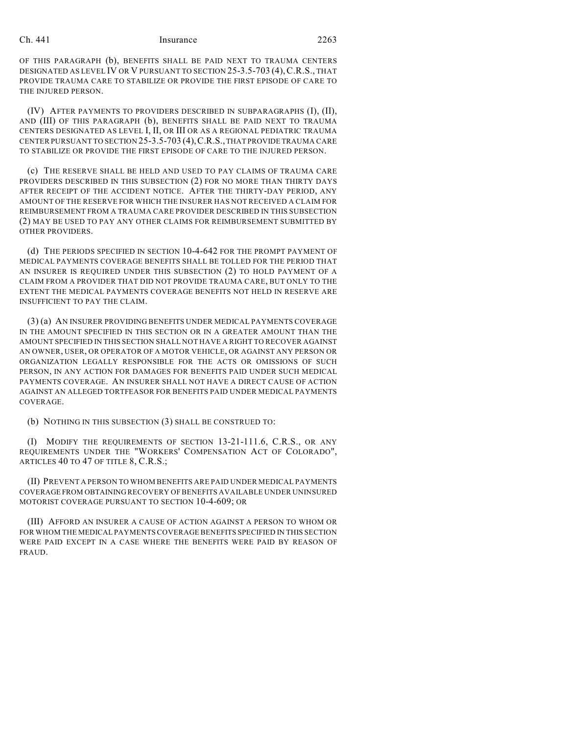#### Ch. 441 Insurance 2263

OF THIS PARAGRAPH (b), BENEFITS SHALL BE PAID NEXT TO TRAUMA CENTERS DESIGNATED AS LEVEL IV OR V PURSUANT TO SECTION 25-3.5-703 (4),C.R.S., THAT PROVIDE TRAUMA CARE TO STABILIZE OR PROVIDE THE FIRST EPISODE OF CARE TO THE INJURED PERSON.

(IV) AFTER PAYMENTS TO PROVIDERS DESCRIBED IN SUBPARAGRAPHS (I), (II), AND (III) OF THIS PARAGRAPH (b), BENEFITS SHALL BE PAID NEXT TO TRAUMA CENTERS DESIGNATED AS LEVEL I, II, OR III OR AS A REGIONAL PEDIATRIC TRAUMA CENTER PURSUANT TO SECTION 25-3.5-703 (4),C.R.S., THAT PROVIDE TRAUMA CARE TO STABILIZE OR PROVIDE THE FIRST EPISODE OF CARE TO THE INJURED PERSON.

(c) THE RESERVE SHALL BE HELD AND USED TO PAY CLAIMS OF TRAUMA CARE PROVIDERS DESCRIBED IN THIS SUBSECTION (2) FOR NO MORE THAN THIRTY DAYS AFTER RECEIPT OF THE ACCIDENT NOTICE. AFTER THE THIRTY-DAY PERIOD, ANY AMOUNT OF THE RESERVE FOR WHICH THE INSURER HAS NOT RECEIVED A CLAIM FOR REIMBURSEMENT FROM A TRAUMA CARE PROVIDER DESCRIBED IN THIS SUBSECTION (2) MAY BE USED TO PAY ANY OTHER CLAIMS FOR REIMBURSEMENT SUBMITTED BY OTHER PROVIDERS.

(d) THE PERIODS SPECIFIED IN SECTION 10-4-642 FOR THE PROMPT PAYMENT OF MEDICAL PAYMENTS COVERAGE BENEFITS SHALL BE TOLLED FOR THE PERIOD THAT AN INSURER IS REQUIRED UNDER THIS SUBSECTION (2) TO HOLD PAYMENT OF A CLAIM FROM A PROVIDER THAT DID NOT PROVIDE TRAUMA CARE, BUT ONLY TO THE EXTENT THE MEDICAL PAYMENTS COVERAGE BENEFITS NOT HELD IN RESERVE ARE INSUFFICIENT TO PAY THE CLAIM.

(3) (a) AN INSURER PROVIDING BENEFITS UNDER MEDICAL PAYMENTS COVERAGE IN THE AMOUNT SPECIFIED IN THIS SECTION OR IN A GREATER AMOUNT THAN THE AMOUNT SPECIFIED IN THIS SECTION SHALL NOT HAVE A RIGHT TO RECOVER AGAINST AN OWNER, USER, OR OPERATOR OF A MOTOR VEHICLE, OR AGAINST ANY PERSON OR ORGANIZATION LEGALLY RESPONSIBLE FOR THE ACTS OR OMISSIONS OF SUCH PERSON, IN ANY ACTION FOR DAMAGES FOR BENEFITS PAID UNDER SUCH MEDICAL PAYMENTS COVERAGE. AN INSURER SHALL NOT HAVE A DIRECT CAUSE OF ACTION AGAINST AN ALLEGED TORTFEASOR FOR BENEFITS PAID UNDER MEDICAL PAYMENTS COVERAGE.

(b) NOTHING IN THIS SUBSECTION (3) SHALL BE CONSTRUED TO:

(I) MODIFY THE REQUIREMENTS OF SECTION 13-21-111.6, C.R.S., OR ANY REQUIREMENTS UNDER THE "WORKERS' COMPENSATION ACT OF COLORADO", ARTICLES 40 TO 47 OF TITLE 8, C.R.S.;

(II) PREVENT A PERSON TO WHOM BENEFITS ARE PAID UNDER MEDICAL PAYMENTS COVERAGE FROM OBTAINING RECOVERY OF BENEFITS AVAILABLE UNDER UNINSURED MOTORIST COVERAGE PURSUANT TO SECTION 10-4-609; OR

(III) AFFORD AN INSURER A CAUSE OF ACTION AGAINST A PERSON TO WHOM OR FOR WHOM THE MEDICAL PAYMENTS COVERAGE BENEFITS SPECIFIED IN THIS SECTION WERE PAID EXCEPT IN A CASE WHERE THE BENEFITS WERE PAID BY REASON OF FRAUD.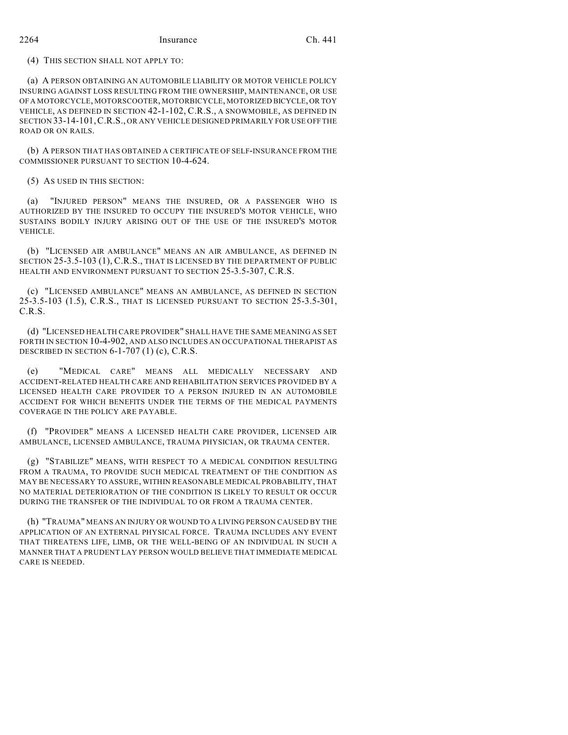### 2264 Insurance Ch. 441

(4) THIS SECTION SHALL NOT APPLY TO:

(a) A PERSON OBTAINING AN AUTOMOBILE LIABILITY OR MOTOR VEHICLE POLICY INSURING AGAINST LOSS RESULTING FROM THE OWNERSHIP, MAINTENANCE, OR USE OF A MOTORCYCLE, MOTORSCOOTER, MOTORBICYCLE, MOTORIZED BICYCLE, OR TOY VEHICLE, AS DEFINED IN SECTION 42-1-102, C.R.S., A SNOWMOBILE, AS DEFINED IN SECTION 33-14-101,C.R.S., OR ANY VEHICLE DESIGNED PRIMARILY FOR USE OFF THE ROAD OR ON RAILS.

(b) A PERSON THAT HAS OBTAINED A CERTIFICATE OF SELF-INSURANCE FROM THE COMMISSIONER PURSUANT TO SECTION 10-4-624.

(5) AS USED IN THIS SECTION:

(a) "INJURED PERSON" MEANS THE INSURED, OR A PASSENGER WHO IS AUTHORIZED BY THE INSURED TO OCCUPY THE INSURED'S MOTOR VEHICLE, WHO SUSTAINS BODILY INJURY ARISING OUT OF THE USE OF THE INSURED'S MOTOR VEHICLE.

(b) "LICENSED AIR AMBULANCE" MEANS AN AIR AMBULANCE, AS DEFINED IN SECTION 25-3.5-103 (1), C.R.S., THAT IS LICENSED BY THE DEPARTMENT OF PUBLIC HEALTH AND ENVIRONMENT PURSUANT TO SECTION 25-3.5-307, C.R.S.

(c) "LICENSED AMBULANCE" MEANS AN AMBULANCE, AS DEFINED IN SECTION 25-3.5-103 (1.5), C.R.S., THAT IS LICENSED PURSUANT TO SECTION 25-3.5-301, C.R.S.

(d) "LICENSED HEALTH CARE PROVIDER" SHALL HAVE THE SAME MEANING AS SET FORTH IN SECTION 10-4-902, AND ALSO INCLUDES AN OCCUPATIONAL THERAPIST AS DESCRIBED IN SECTION 6-1-707 (1) (c), C.R.S.

(e) "MEDICAL CARE" MEANS ALL MEDICALLY NECESSARY AND ACCIDENT-RELATED HEALTH CARE AND REHABILITATION SERVICES PROVIDED BY A LICENSED HEALTH CARE PROVIDER TO A PERSON INJURED IN AN AUTOMOBILE ACCIDENT FOR WHICH BENEFITS UNDER THE TERMS OF THE MEDICAL PAYMENTS COVERAGE IN THE POLICY ARE PAYABLE.

(f) "PROVIDER" MEANS A LICENSED HEALTH CARE PROVIDER, LICENSED AIR AMBULANCE, LICENSED AMBULANCE, TRAUMA PHYSICIAN, OR TRAUMA CENTER.

(g) "STABILIZE" MEANS, WITH RESPECT TO A MEDICAL CONDITION RESULTING FROM A TRAUMA, TO PROVIDE SUCH MEDICAL TREATMENT OF THE CONDITION AS MAY BE NECESSARY TO ASSURE, WITHIN REASONABLE MEDICAL PROBABILITY, THAT NO MATERIAL DETERIORATION OF THE CONDITION IS LIKELY TO RESULT OR OCCUR DURING THE TRANSFER OF THE INDIVIDUAL TO OR FROM A TRAUMA CENTER.

(h) "TRAUMA" MEANS AN INJURY OR WOUND TO A LIVING PERSON CAUSED BY THE APPLICATION OF AN EXTERNAL PHYSICAL FORCE. TRAUMA INCLUDES ANY EVENT THAT THREATENS LIFE, LIMB, OR THE WELL-BEING OF AN INDIVIDUAL IN SUCH A MANNER THAT A PRUDENT LAY PERSON WOULD BELIEVE THAT IMMEDIATE MEDICAL CARE IS NEEDED.